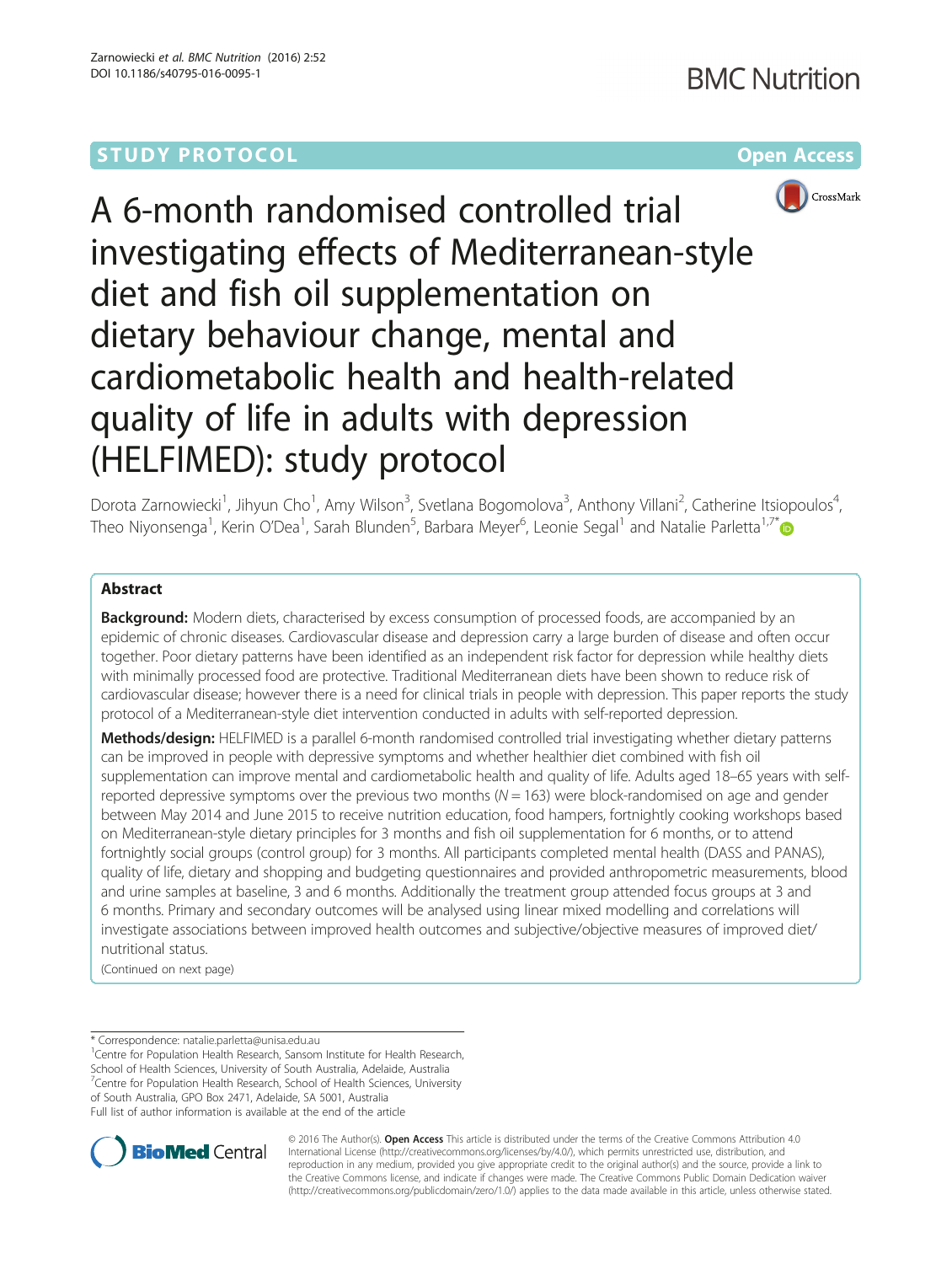

A 6-month randomised controlled trial investigating effects of Mediterranean-style diet and fish oil supplementation on dietary behaviour change, mental and cardiometabolic health and health-related quality of life in adults with depression (HELFIMED): study protocol

Dorota Zarnowiecki<sup>1</sup>, Jihyun Cho<sup>1</sup>, Amy Wilson<sup>3</sup>, Svetlana Bogomolova<sup>3</sup>, Anthony Villani<sup>2</sup>, Catherine Itsiopoulos<sup>4</sup> , Theo Niyonsenga<sup>1</sup>, Kerin O'Dea<sup>1</sup>, Sarah Blunden<sup>5</sup>, Barbara Meyer<sup>6</sup>, Leonie Segal<sup>1</sup> and Natalie Parletta<sup>1,7\*</sup>

# Abstract

**Background:** Modern diets, characterised by excess consumption of processed foods, are accompanied by an epidemic of chronic diseases. Cardiovascular disease and depression carry a large burden of disease and often occur together. Poor dietary patterns have been identified as an independent risk factor for depression while healthy diets with minimally processed food are protective. Traditional Mediterranean diets have been shown to reduce risk of cardiovascular disease; however there is a need for clinical trials in people with depression. This paper reports the study protocol of a Mediterranean-style diet intervention conducted in adults with self-reported depression.

Methods/design: HELFIMED is a parallel 6-month randomised controlled trial investigating whether dietary patterns can be improved in people with depressive symptoms and whether healthier diet combined with fish oil supplementation can improve mental and cardiometabolic health and quality of life. Adults aged 18–65 years with selfreported depressive symptoms over the previous two months  $(N = 163)$  were block-randomised on age and gender between May 2014 and June 2015 to receive nutrition education, food hampers, fortnightly cooking workshops based on Mediterranean-style dietary principles for 3 months and fish oil supplementation for 6 months, or to attend fortnightly social groups (control group) for 3 months. All participants completed mental health (DASS and PANAS), quality of life, dietary and shopping and budgeting questionnaires and provided anthropometric measurements, blood and urine samples at baseline, 3 and 6 months. Additionally the treatment group attended focus groups at 3 and 6 months. Primary and secondary outcomes will be analysed using linear mixed modelling and correlations will investigate associations between improved health outcomes and subjective/objective measures of improved diet/ nutritional status.

(Continued on next page)

\* Correspondence: [natalie.parletta@unisa.edu.au](mailto:natalie.parletta@unisa.edu.au) <sup>1</sup>

<sup>1</sup> Centre for Population Health Research, Sansom Institute for Health Research,

School of Health Sciences, University of South Australia, Adelaide, Australia <sup>7</sup> Centre for Population Health Research, School of Health Sciences, University

of South Australia, GPO Box 2471, Adelaide, SA 5001, Australia

Full list of author information is available at the end of the article



© 2016 The Author(s). Open Access This article is distributed under the terms of the Creative Commons Attribution 4.0 International License [\(http://creativecommons.org/licenses/by/4.0/](http://creativecommons.org/licenses/by/4.0/)), which permits unrestricted use, distribution, and reproduction in any medium, provided you give appropriate credit to the original author(s) and the source, provide a link to the Creative Commons license, and indicate if changes were made. The Creative Commons Public Domain Dedication waiver [\(http://creativecommons.org/publicdomain/zero/1.0/](http://creativecommons.org/publicdomain/zero/1.0/)) applies to the data made available in this article, unless otherwise stated.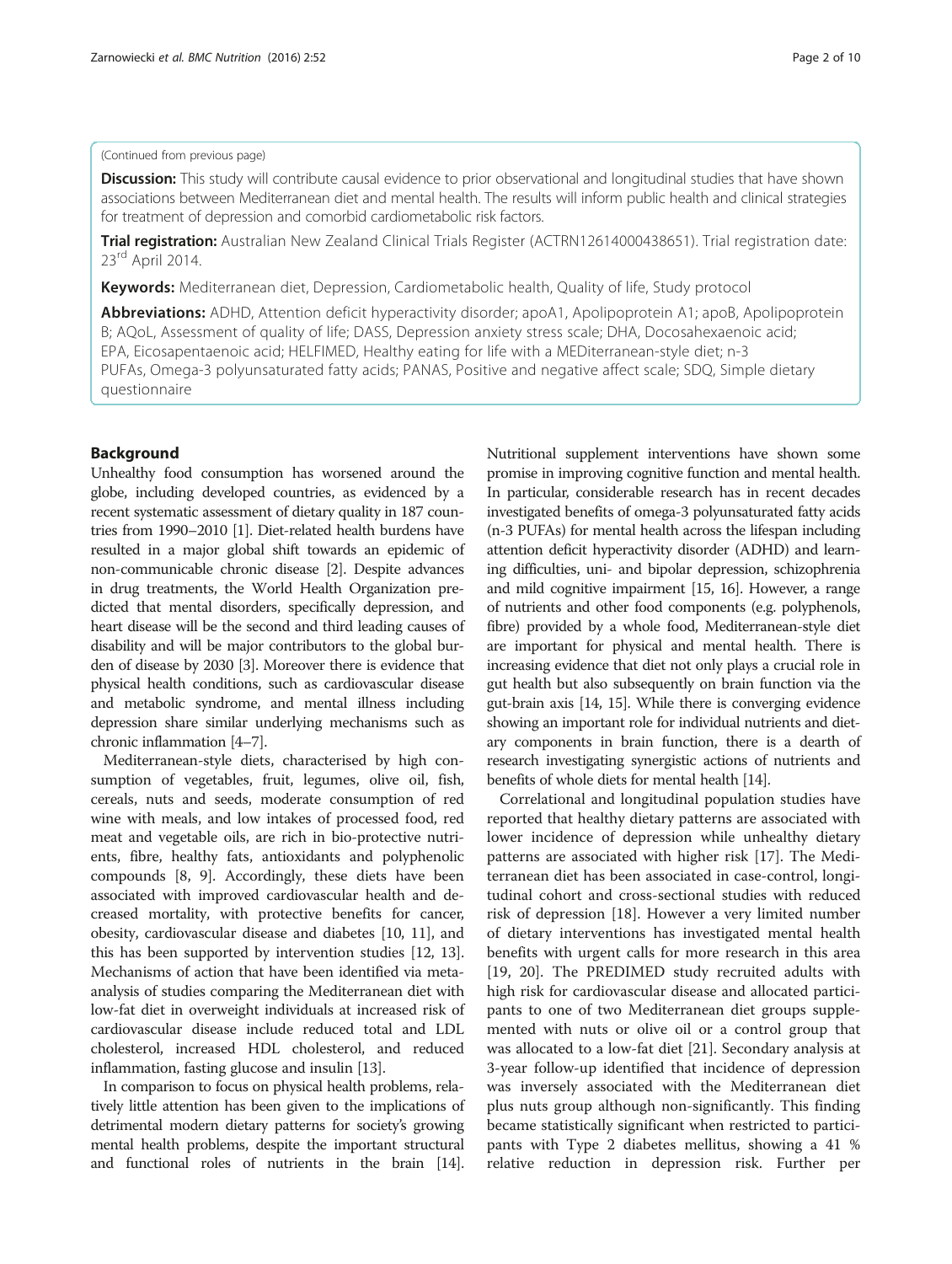## (Continued from previous page)

Discussion: This study will contribute causal evidence to prior observational and longitudinal studies that have shown associations between Mediterranean diet and mental health. The results will inform public health and clinical strategies for treatment of depression and comorbid cardiometabolic risk factors.

Trial registration: Australian New Zealand Clinical Trials Register [\(ACTRN12614000438651](https://www.anzctr.org.au/Trial/Registration/TrialReview.aspx?id=366156)). Trial registration date: 23<sup>rd</sup> April 2014.

Keywords: Mediterranean diet, Depression, Cardiometabolic health, Quality of life, Study protocol

Abbreviations: ADHD, Attention deficit hyperactivity disorder; apoA1, Apolipoprotein A1; apoB, Apolipoprotein B; AQoL, Assessment of quality of life; DASS, Depression anxiety stress scale; DHA, Docosahexaenoic acid; EPA, Eicosapentaenoic acid; HELFIMED, Healthy eating for life with a MEDiterranean-style diet; n-3 PUFAs, Omega-3 polyunsaturated fatty acids; PANAS, Positive and negative affect scale; SDQ, Simple dietary questionnaire

# Background

Unhealthy food consumption has worsened around the globe, including developed countries, as evidenced by a recent systematic assessment of dietary quality in 187 countries from 1990–2010 [\[1](#page-7-0)]. Diet-related health burdens have resulted in a major global shift towards an epidemic of non-communicable chronic disease [\[2\]](#page-7-0). Despite advances in drug treatments, the World Health Organization predicted that mental disorders, specifically depression, and heart disease will be the second and third leading causes of disability and will be major contributors to the global burden of disease by 2030 [\[3\]](#page-7-0). Moreover there is evidence that physical health conditions, such as cardiovascular disease and metabolic syndrome, and mental illness including depression share similar underlying mechanisms such as chronic inflammation [\[4](#page-7-0)–[7](#page-8-0)].

Mediterranean-style diets, characterised by high consumption of vegetables, fruit, legumes, olive oil, fish, cereals, nuts and seeds, moderate consumption of red wine with meals, and low intakes of processed food, red meat and vegetable oils, are rich in bio-protective nutrients, fibre, healthy fats, antioxidants and polyphenolic compounds [\[8](#page-8-0), [9\]](#page-8-0). Accordingly, these diets have been associated with improved cardiovascular health and decreased mortality, with protective benefits for cancer, obesity, cardiovascular disease and diabetes [\[10](#page-8-0), [11\]](#page-8-0), and this has been supported by intervention studies [\[12, 13](#page-8-0)]. Mechanisms of action that have been identified via metaanalysis of studies comparing the Mediterranean diet with low-fat diet in overweight individuals at increased risk of cardiovascular disease include reduced total and LDL cholesterol, increased HDL cholesterol, and reduced inflammation, fasting glucose and insulin [[13](#page-8-0)].

In comparison to focus on physical health problems, relatively little attention has been given to the implications of detrimental modern dietary patterns for society's growing mental health problems, despite the important structural and functional roles of nutrients in the brain [\[14](#page-8-0)].

Nutritional supplement interventions have shown some promise in improving cognitive function and mental health. In particular, considerable research has in recent decades investigated benefits of omega-3 polyunsaturated fatty acids (n-3 PUFAs) for mental health across the lifespan including attention deficit hyperactivity disorder (ADHD) and learning difficulties, uni- and bipolar depression, schizophrenia and mild cognitive impairment [[15, 16\]](#page-8-0). However, a range of nutrients and other food components (e.g. polyphenols, fibre) provided by a whole food, Mediterranean-style diet are important for physical and mental health. There is increasing evidence that diet not only plays a crucial role in gut health but also subsequently on brain function via the gut-brain axis [\[14, 15\]](#page-8-0). While there is converging evidence showing an important role for individual nutrients and dietary components in brain function, there is a dearth of research investigating synergistic actions of nutrients and benefits of whole diets for mental health [[14](#page-8-0)].

Correlational and longitudinal population studies have reported that healthy dietary patterns are associated with lower incidence of depression while unhealthy dietary patterns are associated with higher risk [\[17](#page-8-0)]. The Mediterranean diet has been associated in case-control, longitudinal cohort and cross-sectional studies with reduced risk of depression [[18\]](#page-8-0). However a very limited number of dietary interventions has investigated mental health benefits with urgent calls for more research in this area [[19, 20\]](#page-8-0). The PREDIMED study recruited adults with high risk for cardiovascular disease and allocated participants to one of two Mediterranean diet groups supplemented with nuts or olive oil or a control group that was allocated to a low-fat diet [[21](#page-8-0)]. Secondary analysis at 3-year follow-up identified that incidence of depression was inversely associated with the Mediterranean diet plus nuts group although non-significantly. This finding became statistically significant when restricted to participants with Type 2 diabetes mellitus, showing a 41 % relative reduction in depression risk. Further per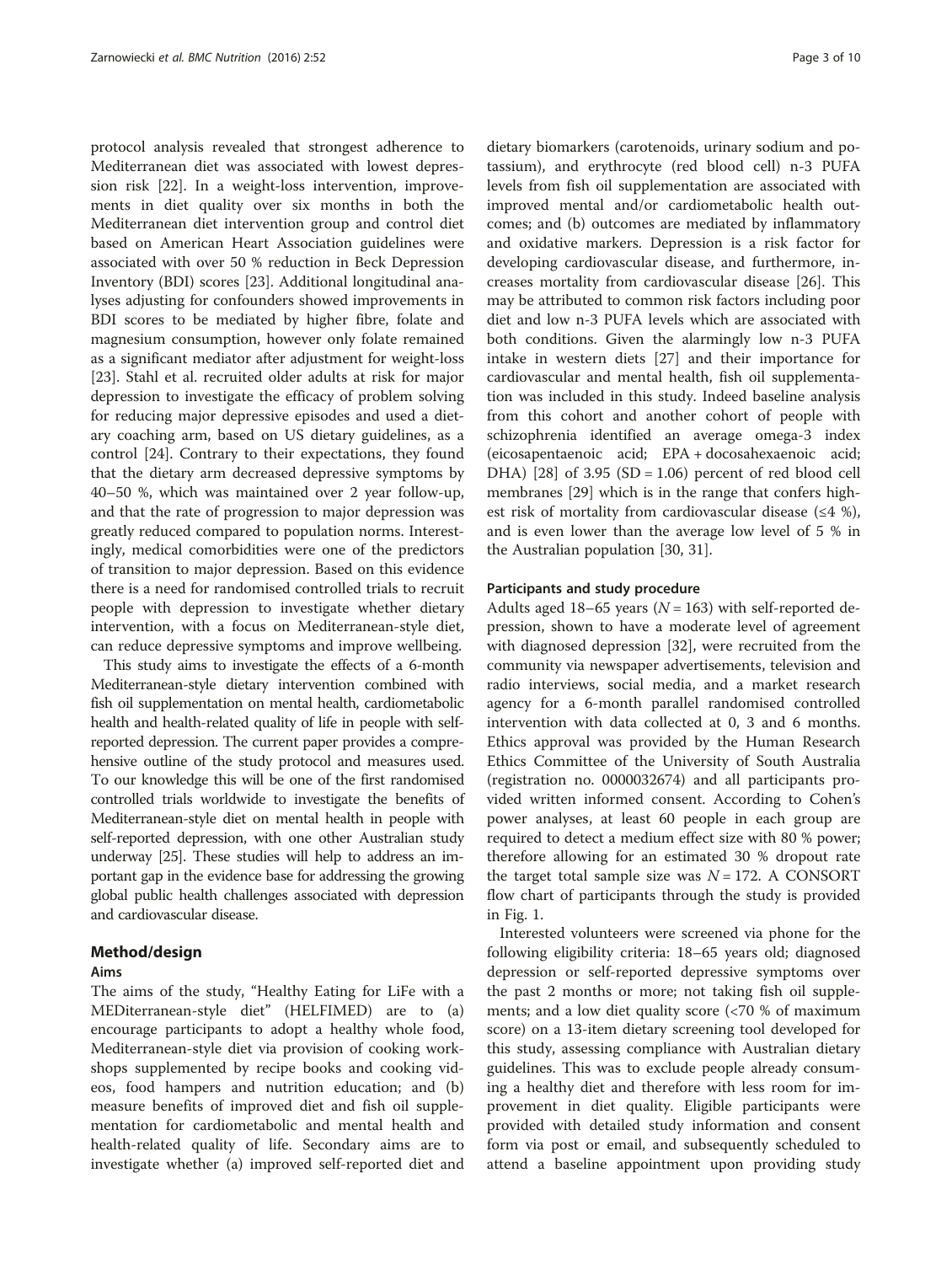protocol analysis revealed that strongest adherence to Mediterranean diet was associated with lowest depression risk [[22\]](#page-8-0). In a weight-loss intervention, improvements in diet quality over six months in both the Mediterranean diet intervention group and control diet based on American Heart Association guidelines were associated with over 50 % reduction in Beck Depression Inventory (BDI) scores [\[23](#page-8-0)]. Additional longitudinal analyses adjusting for confounders showed improvements in BDI scores to be mediated by higher fibre, folate and magnesium consumption, however only folate remained as a significant mediator after adjustment for weight-loss [[23\]](#page-8-0). Stahl et al. recruited older adults at risk for major depression to investigate the efficacy of problem solving for reducing major depressive episodes and used a dietary coaching arm, based on US dietary guidelines, as a control [\[24](#page-8-0)]. Contrary to their expectations, they found that the dietary arm decreased depressive symptoms by 40–50 %, which was maintained over 2 year follow-up, and that the rate of progression to major depression was greatly reduced compared to population norms. Interestingly, medical comorbidities were one of the predictors of transition to major depression. Based on this evidence there is a need for randomised controlled trials to recruit people with depression to investigate whether dietary intervention, with a focus on Mediterranean-style diet, can reduce depressive symptoms and improve wellbeing.

This study aims to investigate the effects of a 6-month Mediterranean-style dietary intervention combined with fish oil supplementation on mental health, cardiometabolic health and health-related quality of life in people with selfreported depression. The current paper provides a comprehensive outline of the study protocol and measures used. To our knowledge this will be one of the first randomised controlled trials worldwide to investigate the benefits of Mediterranean-style diet on mental health in people with self-reported depression, with one other Australian study underway [\[25](#page-8-0)]. These studies will help to address an important gap in the evidence base for addressing the growing global public health challenges associated with depression and cardiovascular disease.

# Method/design

#### Aims

The aims of the study, "Healthy Eating for LiFe with a MEDiterranean-style diet" (HELFIMED) are to (a) encourage participants to adopt a healthy whole food, Mediterranean-style diet via provision of cooking workshops supplemented by recipe books and cooking videos, food hampers and nutrition education; and (b) measure benefits of improved diet and fish oil supplementation for cardiometabolic and mental health and health-related quality of life. Secondary aims are to investigate whether (a) improved self-reported diet and dietary biomarkers (carotenoids, urinary sodium and potassium), and erythrocyte (red blood cell) n-3 PUFA levels from fish oil supplementation are associated with improved mental and/or cardiometabolic health outcomes; and (b) outcomes are mediated by inflammatory and oxidative markers. Depression is a risk factor for developing cardiovascular disease, and furthermore, increases mortality from cardiovascular disease [\[26](#page-8-0)]. This may be attributed to common risk factors including poor diet and low n-3 PUFA levels which are associated with both conditions. Given the alarmingly low n-3 PUFA intake in western diets [\[27](#page-8-0)] and their importance for cardiovascular and mental health, fish oil supplementation was included in this study. Indeed baseline analysis from this cohort and another cohort of people with schizophrenia identified an average omega-3 index (eicosapentaenoic acid; EPA + docosahexaenoic acid; DHA)  $[28]$  $[28]$  of 3.95 (SD = 1.06) percent of red blood cell membranes [[29](#page-8-0)] which is in the range that confers highest risk of mortality from cardiovascular disease (≤4 %), and is even lower than the average low level of 5 % in the Australian population [[30, 31\]](#page-8-0).

#### Participants and study procedure

Adults aged 18–65 years ( $N = 163$ ) with self-reported depression, shown to have a moderate level of agreement with diagnosed depression [[32](#page-8-0)], were recruited from the community via newspaper advertisements, television and radio interviews, social media, and a market research agency for a 6-month parallel randomised controlled intervention with data collected at 0, 3 and 6 months. Ethics approval was provided by the Human Research Ethics Committee of the University of South Australia (registration no. 0000032674) and all participants provided written informed consent. According to Cohen's power analyses, at least 60 people in each group are required to detect a medium effect size with 80 % power; therefore allowing for an estimated 30 % dropout rate the target total sample size was  $N = 172$ . A CONSORT flow chart of participants through the study is provided in Fig. [1](#page-3-0).

Interested volunteers were screened via phone for the following eligibility criteria: 18–65 years old; diagnosed depression or self-reported depressive symptoms over the past 2 months or more; not taking fish oil supplements; and a low diet quality score (<70 % of maximum score) on a 13-item dietary screening tool developed for this study, assessing compliance with Australian dietary guidelines. This was to exclude people already consuming a healthy diet and therefore with less room for improvement in diet quality. Eligible participants were provided with detailed study information and consent form via post or email, and subsequently scheduled to attend a baseline appointment upon providing study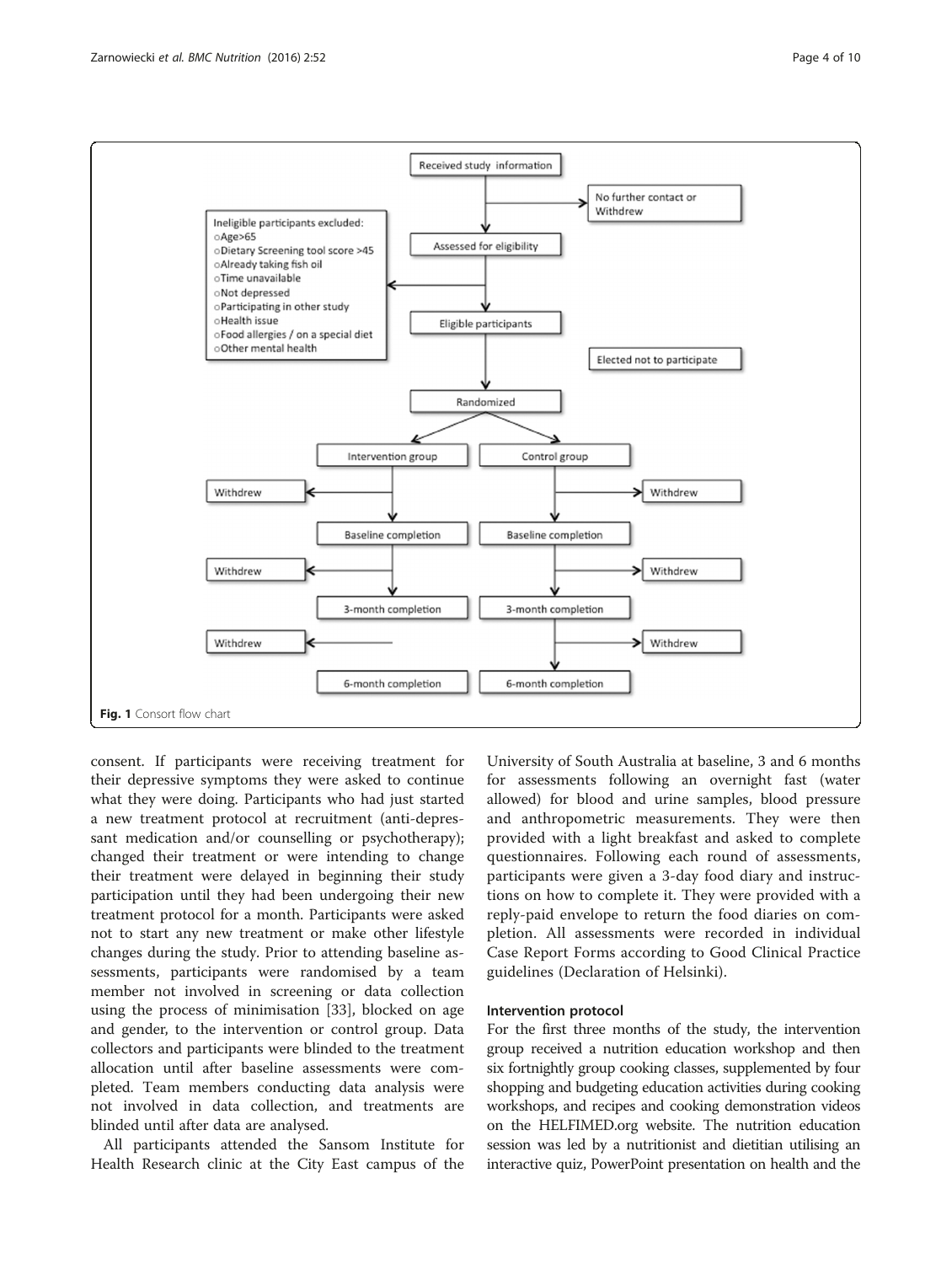<span id="page-3-0"></span>

consent. If participants were receiving treatment for their depressive symptoms they were asked to continue what they were doing. Participants who had just started a new treatment protocol at recruitment (anti-depressant medication and/or counselling or psychotherapy); changed their treatment or were intending to change their treatment were delayed in beginning their study participation until they had been undergoing their new treatment protocol for a month. Participants were asked not to start any new treatment or make other lifestyle changes during the study. Prior to attending baseline assessments, participants were randomised by a team member not involved in screening or data collection using the process of minimisation [\[33](#page-8-0)], blocked on age and gender, to the intervention or control group. Data collectors and participants were blinded to the treatment allocation until after baseline assessments were completed. Team members conducting data analysis were not involved in data collection, and treatments are blinded until after data are analysed.

All participants attended the Sansom Institute for Health Research clinic at the City East campus of the University of South Australia at baseline, 3 and 6 months for assessments following an overnight fast (water allowed) for blood and urine samples, blood pressure and anthropometric measurements. They were then provided with a light breakfast and asked to complete questionnaires. Following each round of assessments, participants were given a 3-day food diary and instructions on how to complete it. They were provided with a reply-paid envelope to return the food diaries on completion. All assessments were recorded in individual Case Report Forms according to Good Clinical Practice guidelines (Declaration of Helsinki).

# Intervention protocol

For the first three months of the study, the intervention group received a nutrition education workshop and then six fortnightly group cooking classes, supplemented by four shopping and budgeting education activities during cooking workshops, and recipes and cooking demonstration videos on the HELFIMED.org website. The nutrition education session was led by a nutritionist and dietitian utilising an interactive quiz, PowerPoint presentation on health and the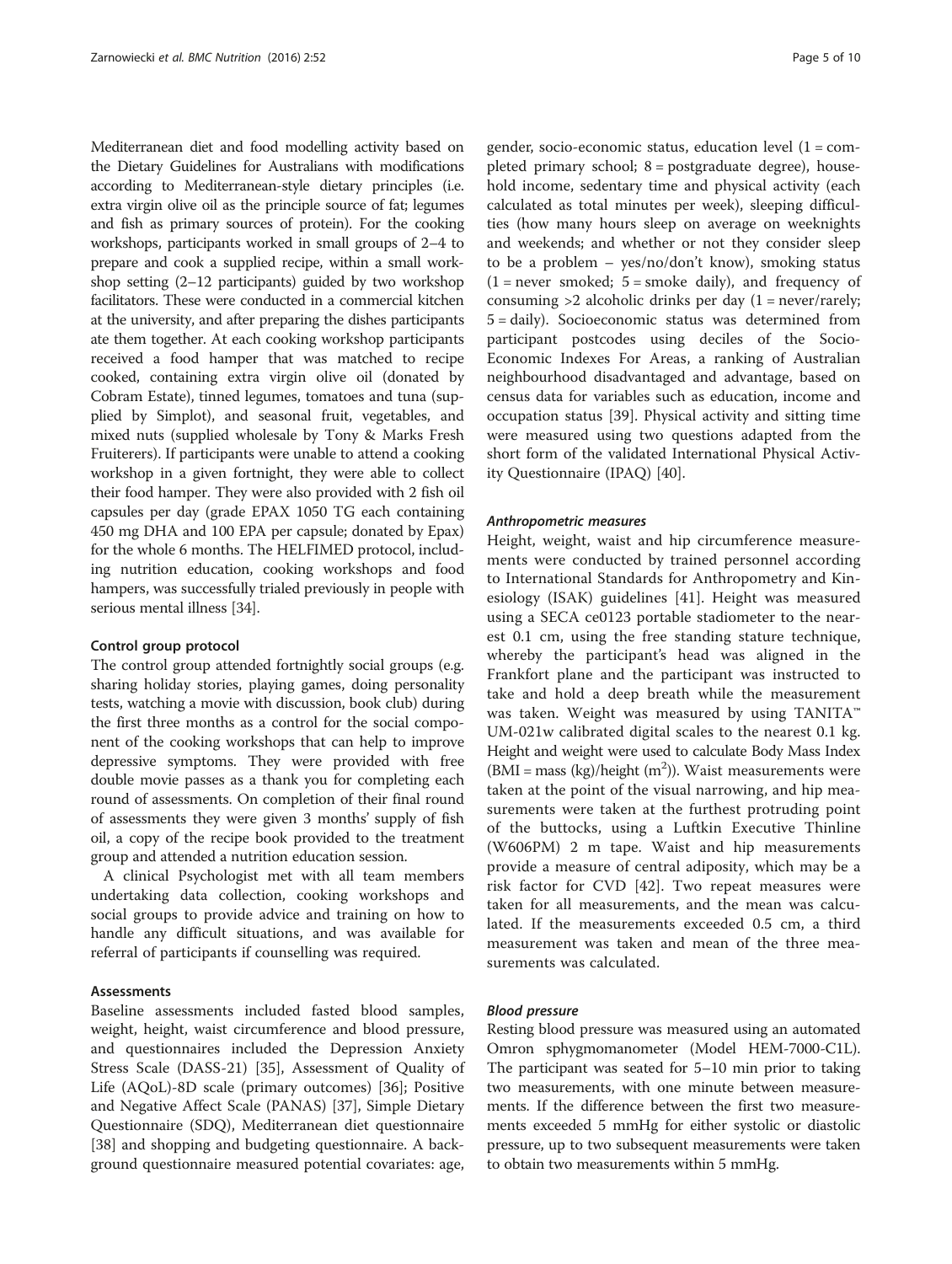Mediterranean diet and food modelling activity based on the Dietary Guidelines for Australians with modifications according to Mediterranean-style dietary principles (i.e. extra virgin olive oil as the principle source of fat; legumes and fish as primary sources of protein). For the cooking workshops, participants worked in small groups of 2–4 to prepare and cook a supplied recipe, within a small workshop setting (2–12 participants) guided by two workshop facilitators. These were conducted in a commercial kitchen at the university, and after preparing the dishes participants ate them together. At each cooking workshop participants received a food hamper that was matched to recipe cooked, containing extra virgin olive oil (donated by Cobram Estate), tinned legumes, tomatoes and tuna (supplied by Simplot), and seasonal fruit, vegetables, and mixed nuts (supplied wholesale by Tony & Marks Fresh Fruiterers). If participants were unable to attend a cooking workshop in a given fortnight, they were able to collect their food hamper. They were also provided with 2 fish oil capsules per day (grade EPAX 1050 TG each containing 450 mg DHA and 100 EPA per capsule; donated by Epax) for the whole 6 months. The HELFIMED protocol, including nutrition education, cooking workshops and food hampers, was successfully trialed previously in people with serious mental illness [[34](#page-8-0)].

## Control group protocol

The control group attended fortnightly social groups (e.g. sharing holiday stories, playing games, doing personality tests, watching a movie with discussion, book club) during the first three months as a control for the social component of the cooking workshops that can help to improve depressive symptoms. They were provided with free double movie passes as a thank you for completing each round of assessments. On completion of their final round of assessments they were given 3 months' supply of fish oil, a copy of the recipe book provided to the treatment group and attended a nutrition education session.

A clinical Psychologist met with all team members undertaking data collection, cooking workshops and social groups to provide advice and training on how to handle any difficult situations, and was available for referral of participants if counselling was required.

# Assessments

Baseline assessments included fasted blood samples, weight, height, waist circumference and blood pressure, and questionnaires included the Depression Anxiety Stress Scale (DASS-21) [[35\]](#page-8-0), Assessment of Quality of Life (AQoL)-8D scale (primary outcomes) [[36\]](#page-8-0); Positive and Negative Affect Scale (PANAS) [[37\]](#page-8-0), Simple Dietary Questionnaire (SDQ), Mediterranean diet questionnaire [[38\]](#page-8-0) and shopping and budgeting questionnaire. A background questionnaire measured potential covariates: age, gender, socio-economic status, education level  $(1 = comm)$ pleted primary school; 8 = postgraduate degree), household income, sedentary time and physical activity (each calculated as total minutes per week), sleeping difficulties (how many hours sleep on average on weeknights and weekends; and whether or not they consider sleep to be a problem – yes/no/don't know), smoking status  $(1 =$  never smoked;  $5 =$  smoke daily), and frequency of consuming  $>2$  alcoholic drinks per day  $(1 = never / rarely;$ 5 = daily). Socioeconomic status was determined from participant postcodes using deciles of the Socio-Economic Indexes For Areas, a ranking of Australian neighbourhood disadvantaged and advantage, based on census data for variables such as education, income and occupation status [\[39\]](#page-8-0). Physical activity and sitting time were measured using two questions adapted from the short form of the validated International Physical Activity Questionnaire (IPAQ) [[40\]](#page-8-0).

## Anthropometric measures

Height, weight, waist and hip circumference measurements were conducted by trained personnel according to International Standards for Anthropometry and Kinesiology (ISAK) guidelines [[41\]](#page-8-0). Height was measured using a SECA ce0123 portable stadiometer to the nearest 0.1 cm, using the free standing stature technique, whereby the participant's head was aligned in the Frankfort plane and the participant was instructed to take and hold a deep breath while the measurement was taken. Weight was measured by using TANITA™ UM-021w calibrated digital scales to the nearest 0.1 kg. Height and weight were used to calculate Body Mass Index  $(BMI = mass (kg)/height (m<sup>2</sup>)).$  Waist measurements were taken at the point of the visual narrowing, and hip measurements were taken at the furthest protruding point of the buttocks, using a Luftkin Executive Thinline (W606PM) 2 m tape. Waist and hip measurements provide a measure of central adiposity, which may be a risk factor for CVD [\[42](#page-8-0)]. Two repeat measures were taken for all measurements, and the mean was calculated. If the measurements exceeded 0.5 cm, a third measurement was taken and mean of the three measurements was calculated.

# Blood pressure

Resting blood pressure was measured using an automated Omron sphygmomanometer (Model HEM-7000-C1L). The participant was seated for 5–10 min prior to taking two measurements, with one minute between measurements. If the difference between the first two measurements exceeded 5 mmHg for either systolic or diastolic pressure, up to two subsequent measurements were taken to obtain two measurements within 5 mmHg.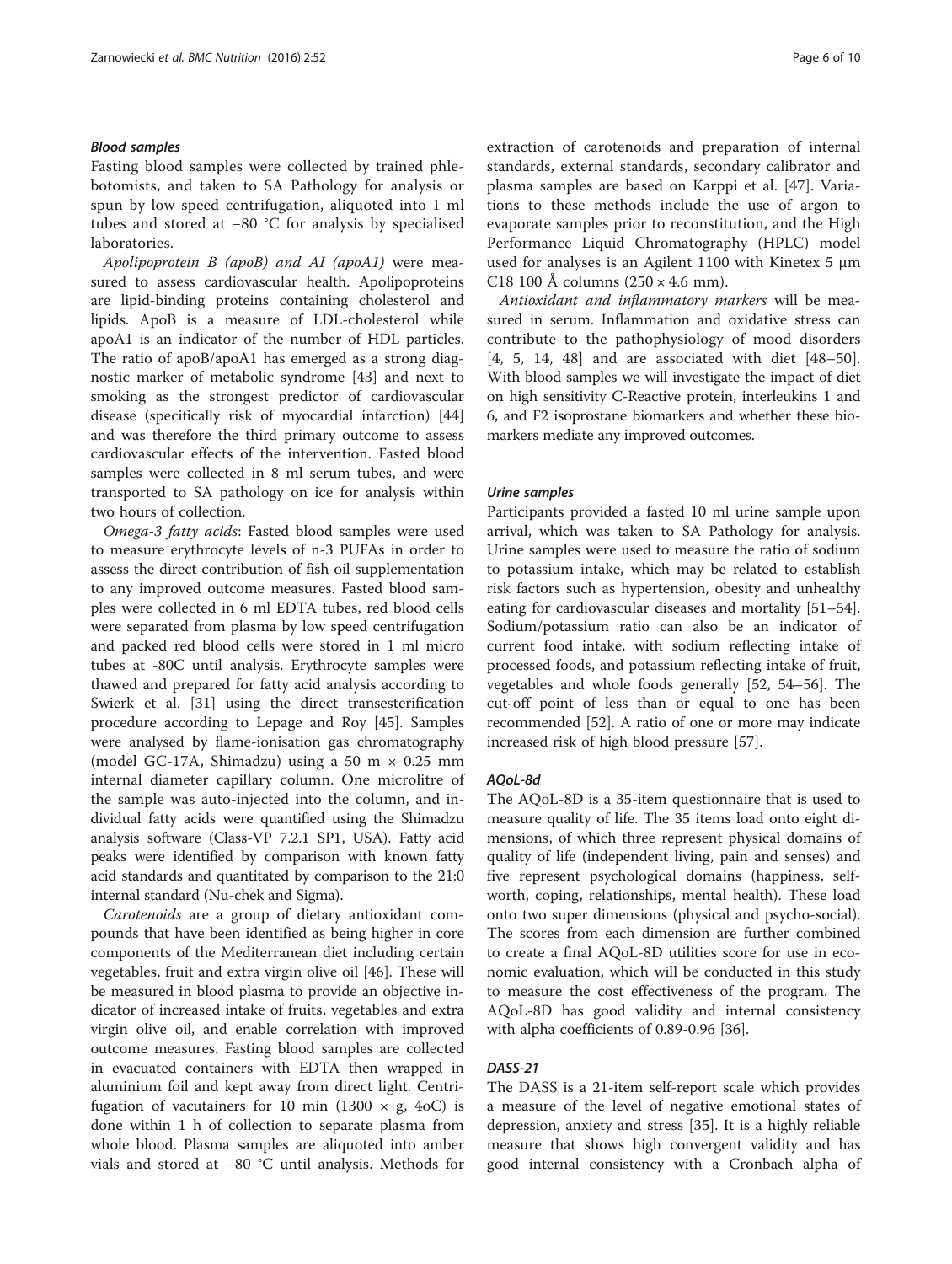# Blood samples

Fasting blood samples were collected by trained phlebotomists, and taken to SA Pathology for analysis or spun by low speed centrifugation, aliquoted into 1 ml tubes and stored at −80 °C for analysis by specialised laboratories.

Apolipoprotein B (apoB) and AI (apoA1) were measured to assess cardiovascular health. Apolipoproteins are lipid-binding proteins containing cholesterol and lipids. ApoB is a measure of LDL-cholesterol while apoA1 is an indicator of the number of HDL particles. The ratio of apoB/apoA1 has emerged as a strong diagnostic marker of metabolic syndrome [\[43](#page-8-0)] and next to smoking as the strongest predictor of cardiovascular disease (specifically risk of myocardial infarction) [[44](#page-8-0)] and was therefore the third primary outcome to assess cardiovascular effects of the intervention. Fasted blood samples were collected in 8 ml serum tubes, and were transported to SA pathology on ice for analysis within two hours of collection.

Omega-3 fatty acids: Fasted blood samples were used to measure erythrocyte levels of n-3 PUFAs in order to assess the direct contribution of fish oil supplementation to any improved outcome measures. Fasted blood samples were collected in 6 ml EDTA tubes, red blood cells were separated from plasma by low speed centrifugation and packed red blood cells were stored in 1 ml micro tubes at -80C until analysis. Erythrocyte samples were thawed and prepared for fatty acid analysis according to Swierk et al. [\[31\]](#page-8-0) using the direct transesterification procedure according to Lepage and Roy [\[45\]](#page-8-0). Samples were analysed by flame-ionisation gas chromatography (model GC-17A, Shimadzu) using a 50 m  $\times$  0.25 mm internal diameter capillary column. One microlitre of the sample was auto-injected into the column, and individual fatty acids were quantified using the Shimadzu analysis software (Class-VP 7.2.1 SP1, USA). Fatty acid peaks were identified by comparison with known fatty acid standards and quantitated by comparison to the 21:0 internal standard (Nu-chek and Sigma).

Carotenoids are a group of dietary antioxidant compounds that have been identified as being higher in core components of the Mediterranean diet including certain vegetables, fruit and extra virgin olive oil [[46](#page-8-0)]. These will be measured in blood plasma to provide an objective indicator of increased intake of fruits, vegetables and extra virgin olive oil, and enable correlation with improved outcome measures. Fasting blood samples are collected in evacuated containers with EDTA then wrapped in aluminium foil and kept away from direct light. Centrifugation of vacutainers for 10 min (1300  $\times$  g, 4oC) is done within 1 h of collection to separate plasma from whole blood. Plasma samples are aliquoted into amber vials and stored at −80 °C until analysis. Methods for extraction of carotenoids and preparation of internal standards, external standards, secondary calibrator and plasma samples are based on Karppi et al. [[47\]](#page-8-0). Variations to these methods include the use of argon to evaporate samples prior to reconstitution, and the High Performance Liquid Chromatography (HPLC) model used for analyses is an Agilent 1100 with Kinetex 5 μm C18 100 Å columns  $(250 \times 4.6 \text{ mm})$ .

Antioxidant and inflammatory markers will be measured in serum. Inflammation and oxidative stress can contribute to the pathophysiology of mood disorders [[4, 5,](#page-7-0) [14, 48\]](#page-8-0) and are associated with diet [\[48](#page-8-0)–[50](#page-8-0)]. With blood samples we will investigate the impact of diet on high sensitivity C-Reactive protein, interleukins 1 and 6, and F2 isoprostane biomarkers and whether these biomarkers mediate any improved outcomes.

#### Urine samples

Participants provided a fasted 10 ml urine sample upon arrival, which was taken to SA Pathology for analysis. Urine samples were used to measure the ratio of sodium to potassium intake, which may be related to establish risk factors such as hypertension, obesity and unhealthy eating for cardiovascular diseases and mortality [[51](#page-8-0)–[54](#page-9-0)]. Sodium/potassium ratio can also be an indicator of current food intake, with sodium reflecting intake of processed foods, and potassium reflecting intake of fruit, vegetables and whole foods generally [\[52](#page-8-0), [54](#page-9-0)–[56](#page-9-0)]. The cut-off point of less than or equal to one has been recommended [[52\]](#page-8-0). A ratio of one or more may indicate increased risk of high blood pressure [\[57](#page-9-0)].

# AQoL-8d

The AQoL-8D is a 35-item questionnaire that is used to measure quality of life. The 35 items load onto eight dimensions, of which three represent physical domains of quality of life (independent living, pain and senses) and five represent psychological domains (happiness, selfworth, coping, relationships, mental health). These load onto two super dimensions (physical and psycho-social). The scores from each dimension are further combined to create a final AQoL-8D utilities score for use in economic evaluation, which will be conducted in this study to measure the cost effectiveness of the program. The AQoL-8D has good validity and internal consistency with alpha coefficients of 0.89-0.96 [[36\]](#page-8-0).

# DASS-21

The DASS is a 21-item self-report scale which provides a measure of the level of negative emotional states of depression, anxiety and stress [\[35](#page-8-0)]. It is a highly reliable measure that shows high convergent validity and has good internal consistency with a Cronbach alpha of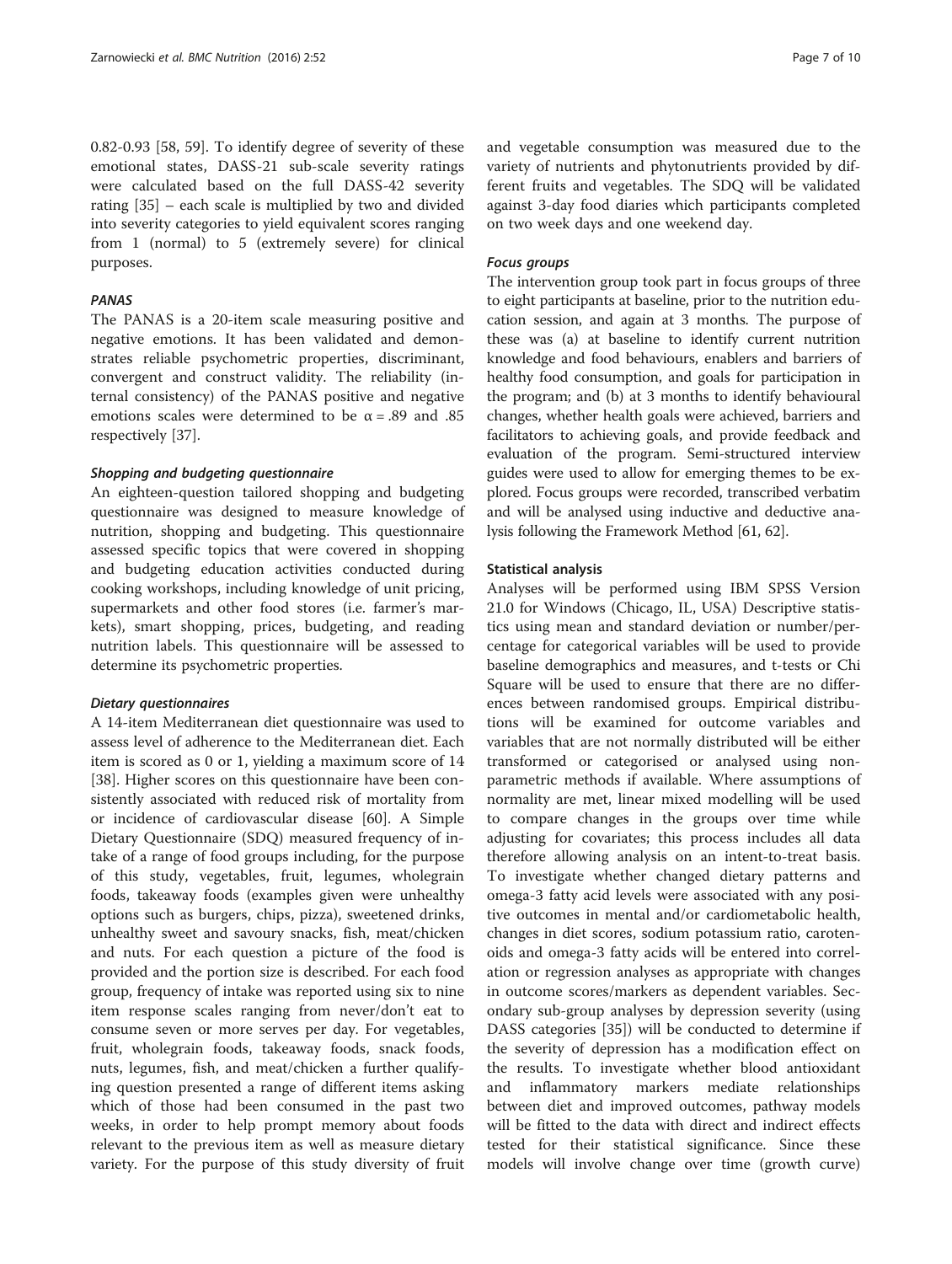0.82-0.93 [\[58](#page-9-0), [59](#page-9-0)]. To identify degree of severity of these emotional states, DASS-21 sub-scale severity ratings were calculated based on the full DASS-42 severity rating [\[35\]](#page-8-0) – each scale is multiplied by two and divided into severity categories to yield equivalent scores ranging from 1 (normal) to 5 (extremely severe) for clinical purposes.

## PANAS

The PANAS is a 20-item scale measuring positive and negative emotions. It has been validated and demonstrates reliable psychometric properties, discriminant, convergent and construct validity. The reliability (internal consistency) of the PANAS positive and negative emotions scales were determined to be  $\alpha$  = .89 and .85 respectively [\[37](#page-8-0)].

## Shopping and budgeting questionnaire

An eighteen-question tailored shopping and budgeting questionnaire was designed to measure knowledge of nutrition, shopping and budgeting. This questionnaire assessed specific topics that were covered in shopping and budgeting education activities conducted during cooking workshops, including knowledge of unit pricing, supermarkets and other food stores (i.e. farmer's markets), smart shopping, prices, budgeting, and reading nutrition labels. This questionnaire will be assessed to determine its psychometric properties.

#### Dietary questionnaires

A 14-item Mediterranean diet questionnaire was used to assess level of adherence to the Mediterranean diet. Each item is scored as 0 or 1, yielding a maximum score of 14 [[38\]](#page-8-0). Higher scores on this questionnaire have been consistently associated with reduced risk of mortality from or incidence of cardiovascular disease [[60](#page-9-0)]. A Simple Dietary Questionnaire (SDQ) measured frequency of intake of a range of food groups including, for the purpose of this study, vegetables, fruit, legumes, wholegrain foods, takeaway foods (examples given were unhealthy options such as burgers, chips, pizza), sweetened drinks, unhealthy sweet and savoury snacks, fish, meat/chicken and nuts. For each question a picture of the food is provided and the portion size is described. For each food group, frequency of intake was reported using six to nine item response scales ranging from never/don't eat to consume seven or more serves per day. For vegetables, fruit, wholegrain foods, takeaway foods, snack foods, nuts, legumes, fish, and meat/chicken a further qualifying question presented a range of different items asking which of those had been consumed in the past two weeks, in order to help prompt memory about foods relevant to the previous item as well as measure dietary variety. For the purpose of this study diversity of fruit and vegetable consumption was measured due to the variety of nutrients and phytonutrients provided by different fruits and vegetables. The SDQ will be validated against 3-day food diaries which participants completed on two week days and one weekend day.

# Focus groups

The intervention group took part in focus groups of three to eight participants at baseline, prior to the nutrition education session, and again at 3 months. The purpose of these was (a) at baseline to identify current nutrition knowledge and food behaviours, enablers and barriers of healthy food consumption, and goals for participation in the program; and (b) at 3 months to identify behavioural changes, whether health goals were achieved, barriers and facilitators to achieving goals, and provide feedback and evaluation of the program. Semi-structured interview guides were used to allow for emerging themes to be explored. Focus groups were recorded, transcribed verbatim and will be analysed using inductive and deductive analysis following the Framework Method [\[61](#page-9-0), [62](#page-9-0)].

## Statistical analysis

Analyses will be performed using IBM SPSS Version 21.0 for Windows (Chicago, IL, USA) Descriptive statistics using mean and standard deviation or number/percentage for categorical variables will be used to provide baseline demographics and measures, and t-tests or Chi Square will be used to ensure that there are no differences between randomised groups. Empirical distributions will be examined for outcome variables and variables that are not normally distributed will be either transformed or categorised or analysed using nonparametric methods if available. Where assumptions of normality are met, linear mixed modelling will be used to compare changes in the groups over time while adjusting for covariates; this process includes all data therefore allowing analysis on an intent-to-treat basis. To investigate whether changed dietary patterns and omega-3 fatty acid levels were associated with any positive outcomes in mental and/or cardiometabolic health, changes in diet scores, sodium potassium ratio, carotenoids and omega-3 fatty acids will be entered into correlation or regression analyses as appropriate with changes in outcome scores/markers as dependent variables. Secondary sub-group analyses by depression severity (using DASS categories [[35](#page-8-0)]) will be conducted to determine if the severity of depression has a modification effect on the results. To investigate whether blood antioxidant and inflammatory markers mediate relationships between diet and improved outcomes, pathway models will be fitted to the data with direct and indirect effects tested for their statistical significance. Since these models will involve change over time (growth curve)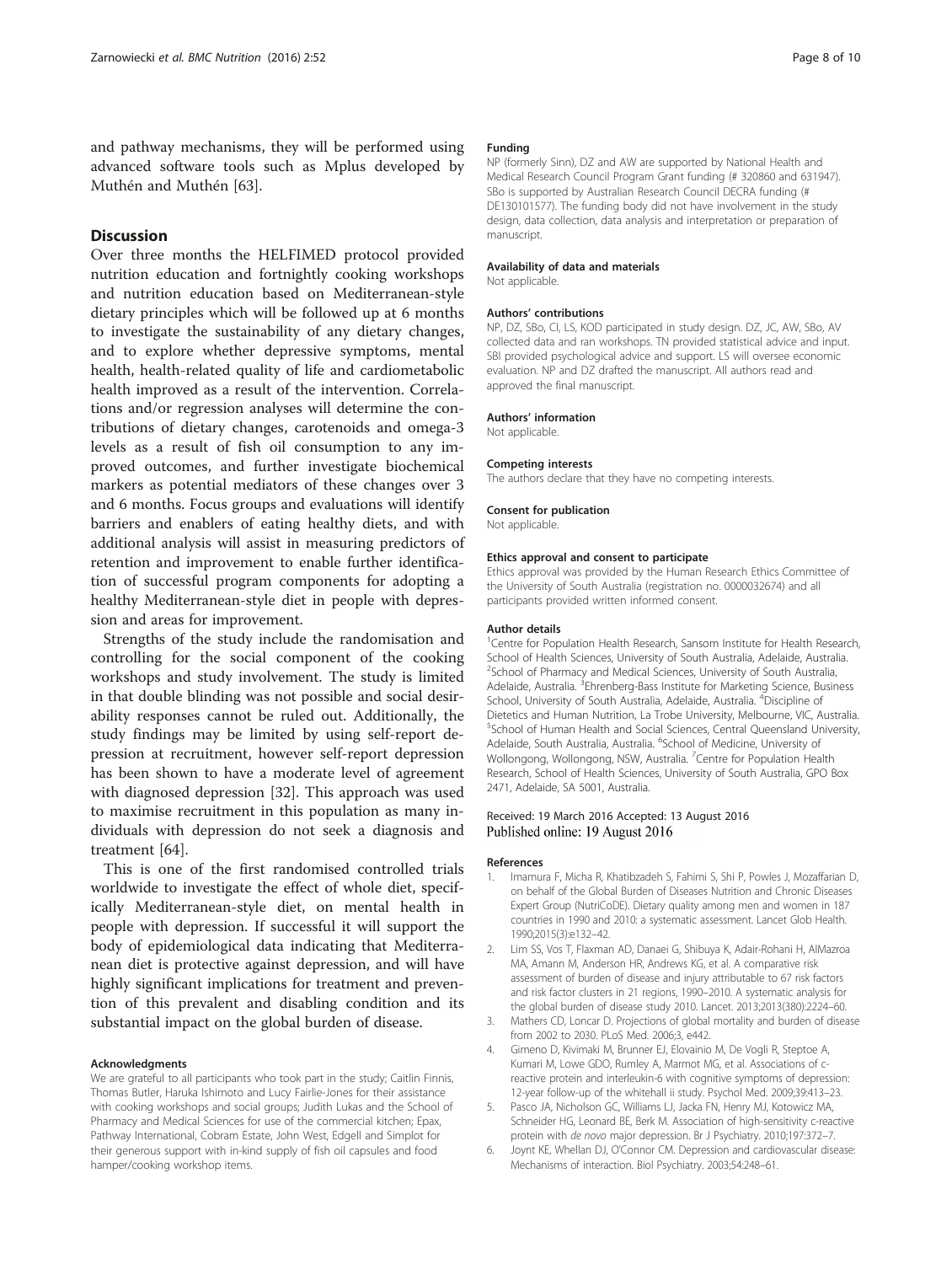<span id="page-7-0"></span>and pathway mechanisms, they will be performed using advanced software tools such as Mplus developed by Muthén and Muthén [\[63\]](#page-9-0).

# **Discussion**

Over three months the HELFIMED protocol provided nutrition education and fortnightly cooking workshops and nutrition education based on Mediterranean-style dietary principles which will be followed up at 6 months to investigate the sustainability of any dietary changes, and to explore whether depressive symptoms, mental health, health-related quality of life and cardiometabolic health improved as a result of the intervention. Correlations and/or regression analyses will determine the contributions of dietary changes, carotenoids and omega-3 levels as a result of fish oil consumption to any improved outcomes, and further investigate biochemical markers as potential mediators of these changes over 3 and 6 months. Focus groups and evaluations will identify barriers and enablers of eating healthy diets, and with additional analysis will assist in measuring predictors of retention and improvement to enable further identification of successful program components for adopting a healthy Mediterranean-style diet in people with depression and areas for improvement.

Strengths of the study include the randomisation and controlling for the social component of the cooking workshops and study involvement. The study is limited in that double blinding was not possible and social desirability responses cannot be ruled out. Additionally, the study findings may be limited by using self-report depression at recruitment, however self-report depression has been shown to have a moderate level of agreement with diagnosed depression [\[32](#page-8-0)]. This approach was used to maximise recruitment in this population as many individuals with depression do not seek a diagnosis and treatment [[64\]](#page-9-0).

This is one of the first randomised controlled trials worldwide to investigate the effect of whole diet, specifically Mediterranean-style diet, on mental health in people with depression. If successful it will support the body of epidemiological data indicating that Mediterranean diet is protective against depression, and will have highly significant implications for treatment and prevention of this prevalent and disabling condition and its substantial impact on the global burden of disease.

#### Acknowledgments

We are grateful to all participants who took part in the study; Caitlin Finnis, Thomas Butler, Haruka Ishimoto and Lucy Fairlie-Jones for their assistance with cooking workshops and social groups; Judith Lukas and the School of Pharmacy and Medical Sciences for use of the commercial kitchen; Epax, Pathway International, Cobram Estate, John West, Edgell and Simplot for their generous support with in-kind supply of fish oil capsules and food hamper/cooking workshop items.

#### Funding

NP (formerly Sinn), DZ and AW are supported by National Health and Medical Research Council Program Grant funding (# 320860 and 631947). SBo is supported by Australian Research Council DECRA funding (# DE130101577). The funding body did not have involvement in the study design, data collection, data analysis and interpretation or preparation of manuscript.

#### Availability of data and materials

Not applicable.

#### Authors' contributions

NP, DZ, SBo, CI, LS, KOD participated in study design. DZ, JC, AW, SBo, AV collected data and ran workshops. TN provided statistical advice and input. SBl provided psychological advice and support. LS will oversee economic evaluation. NP and DZ drafted the manuscript. All authors read and approved the final manuscript.

#### Authors' information

Not applicable.

#### Competing interests

The authors declare that they have no competing interests.

#### Consent for publication

Not applicable.

#### Ethics approval and consent to participate

Ethics approval was provided by the Human Research Ethics Committee of the University of South Australia (registration no. 0000032674) and all participants provided written informed consent.

#### Author details

<sup>1</sup> Centre for Population Health Research, Sansom Institute for Health Research School of Health Sciences, University of South Australia, Adelaide, Australia. <sup>2</sup>School of Pharmacy and Medical Sciences, University of South Australia Adelaide, Australia. <sup>3</sup>Ehrenberg-Bass Institute for Marketing Science, Business School, University of South Australia, Adelaide, Australia. <sup>4</sup>Discipline of Dietetics and Human Nutrition, La Trobe University, Melbourne, VIC, Australia. 5 School of Human Health and Social Sciences, Central Queensland University, Adelaide, South Australia, Australia. <sup>6</sup>School of Medicine, University of Wollongong, Wollongong, NSW, Australia. <sup>7</sup>Centre for Population Health Research, School of Health Sciences, University of South Australia, GPO Box 2471, Adelaide, SA 5001, Australia.

#### Received: 19 March 2016 Accepted: 13 August 2016 Published online: 19 August 2016

#### References

- 1. Imamura F, Micha R, Khatibzadeh S, Fahimi S, Shi P, Powles J, Mozaffarian D, on behalf of the Global Burden of Diseases Nutrition and Chronic Diseases Expert Group (NutriCoDE). Dietary quality among men and women in 187 countries in 1990 and 2010: a systematic assessment. Lancet Glob Health. 1990;2015(3):e132–42.
- 2. Lim SS, Vos T, Flaxman AD, Danaei G, Shibuya K, Adair-Rohani H, AlMazroa MA, Amann M, Anderson HR, Andrews KG, et al. A comparative risk assessment of burden of disease and injury attributable to 67 risk factors and risk factor clusters in 21 regions, 1990–2010. A systematic analysis for the global burden of disease study 2010. Lancet. 2013;2013(380):2224–60.
- 3. Mathers CD, Loncar D. Projections of global mortality and burden of disease from 2002 to 2030. PLoS Med. 2006;3, e442.
- 4. Gimeno D, Kivimaki M, Brunner EJ, Elovainio M, De Vogli R, Steptoe A, Kumari M, Lowe GDO, Rumley A, Marmot MG, et al. Associations of creactive protein and interleukin-6 with cognitive symptoms of depression: 12-year follow-up of the whitehall ii study. Psychol Med. 2009;39:413–23.
- Pasco JA, Nicholson GC, Williams LJ, Jacka FN, Henry MJ, Kotowicz MA, Schneider HG, Leonard BE, Berk M. Association of high-sensitivity c-reactive protein with de novo major depression. Br J Psychiatry. 2010;197:372–7.
- 6. Joynt KE, Whellan DJ, O'Connor CM. Depression and cardiovascular disease: Mechanisms of interaction. Biol Psychiatry. 2003;54:248–61.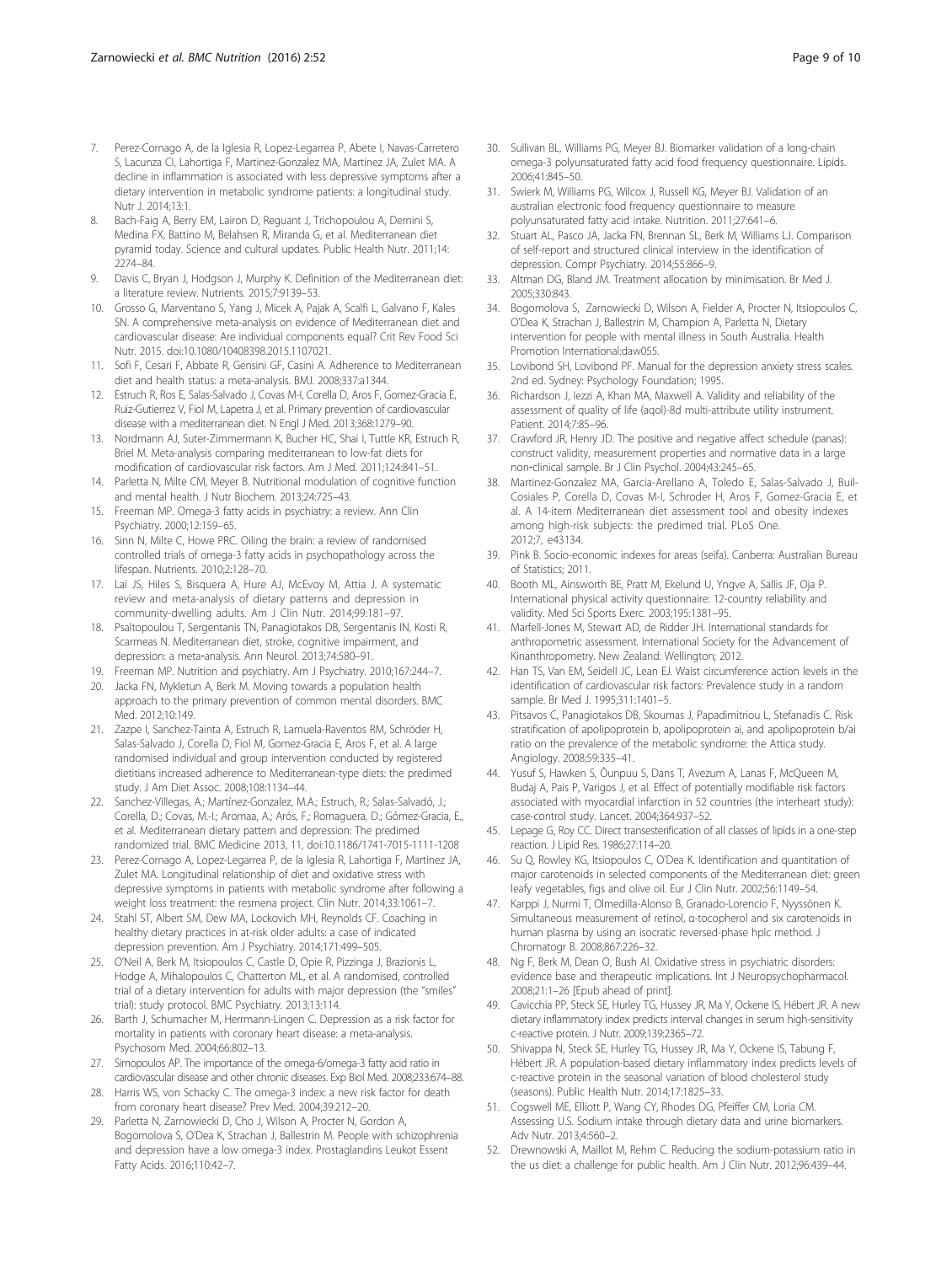- <span id="page-8-0"></span>7. Perez-Cornago A, de la Iglesia R, Lopez-Legarrea P, Abete I, Navas-Carretero S, Lacunza CI, Lahortiga F, Martinez-Gonzalez MA, Martinez JA, Zulet MA. A decline in inflammation is associated with less depressive symptoms after a dietary intervention in metabolic syndrome patients: a longitudinal study. Nutr J. 2014;13:1.
- 8. Bach-Faig A, Berry EM, Lairon D, Reguant J, Trichopoulou A, Dernini S, Medina FX, Battino M, Belahsen R, Miranda G, et al. Mediterranean diet pyramid today. Science and cultural updates. Public Health Nutr. 2011;14: 2274–84.
- 9. Davis C, Bryan J, Hodgson J, Murphy K. Definition of the Mediterranean diet: a literature review. Nutrients. 2015;7:9139–53.
- 10. Grosso G, Marventano S, Yang J, Micek A, Pajak A, Scalfi L, Galvano F, Kales SN. A comprehensive meta-analysis on evidence of Mediterranean diet and cardiovascular disease: Are individual components equal? Crit Rev Food Sci Nutr. 2015. doi:[10.1080/10408398.2015.1107021](http://dx.doi.org/10.1080/10408398.2015.1107021).
- 11. Sofi F, Cesari F, Abbate R, Gensini GF, Casini A. Adherence to Mediterranean diet and health status: a meta-analysis. BMJ. 2008;337:a1344.
- 12. Estruch R, Ros E, Salas-Salvado J, Covas M-I, Corella D, Aros F, Gomez-Gracia E, Ruiz-Gutierrez V, Fiol M, Lapetra J, et al. Primary prevention of cardiovascular disease with a mediterranean diet. N Engl J Med. 2013;368:1279–90.
- 13. Nordmann AJ, Suter-Zimmermann K, Bucher HC, Shai I, Tuttle KR, Estruch R, Briel M. Meta-analysis comparing mediterranean to low-fat diets for modification of cardiovascular risk factors. Am J Med. 2011;124:841–51.
- 14. Parletta N, Milte CM, Meyer B. Nutritional modulation of cognitive function and mental health. J Nutr Biochem. 2013;24:725–43.
- 15. Freeman MP. Omega-3 fatty acids in psychiatry: a review. Ann Clin Psychiatry. 2000;12:159–65.
- 16. Sinn N, Milte C, Howe PRC. Oiling the brain: a review of randomised controlled trials of omega-3 fatty acids in psychopathology across the lifespan. Nutrients. 2010;2:128–70.
- 17. Lai JS, Hiles S, Bisquera A, Hure AJ, McEvoy M, Attia J. A systematic review and meta-analysis of dietary patterns and depression in community-dwelling adults. Am J Clin Nutr. 2014;99:181–97.
- 18. Psaltopoulou T, Sergentanis TN, Panagiotakos DB, Sergentanis IN, Kosti R, Scarmeas N. Mediterranean diet, stroke, cognitive impairment, and depression: a meta‐analysis. Ann Neurol. 2013;74:580–91.
- 19. Freeman MP. Nutrition and psychiatry. Am J Psychiatry. 2010;167:244–7.
- 20. Jacka FN, Mykletun A, Berk M. Moving towards a population health approach to the primary prevention of common mental disorders. BMC Med. 2012;10:149.
- 21. Zazpe I, Sanchez-Tainta A, Estruch R, Lamuela-Raventos RM, Schröder H, Salas-Salvado J, Corella D, Fiol M, Gomez-Gracia E, Aros F, et al. A large randomised individual and group intervention conducted by registered dietitians increased adherence to Mediterranean-type diets: the predimed study. J Am Diet Assoc. 2008;108:1134–44.
- 22. Sanchez-Villegas, A.; Martínez-Gonzalez, M.A.; Estruch, R.; Salas-Salvadó, J.; Corella, D.; Covas, M.-I.; Aromaa, A.; Arós, F.; Romaguera, D.; Gómez-Gracia, E., et al. Mediterranean dietary pattern and depression: The predimed randomized trial. BMC Medicine 2013, 11, doi[:10.1186/1741-7015-1111-1208](http://dx.doi.org/10.1186/1741-7015-1111-1208)
- 23. Perez-Cornago A, Lopez-Legarrea P, de la Iglesia R, Lahortiga F, Martinez JA, Zulet MA. Longitudinal relationship of diet and oxidative stress with depressive symptoms in patients with metabolic syndrome after following a weight loss treatment: the resmena project. Clin Nutr. 2014;33:1061–7.
- 24. Stahl ST, Albert SM, Dew MA, Lockovich MH, Reynolds CF. Coaching in healthy dietary practices in at-risk older adults: a case of indicated depression prevention. Am J Psychiatry. 2014;171:499–505.
- 25. O'Neil A, Berk M, Itsiopoulos C, Castle D, Opie R, Pizzinga J, Brazionis L, Hodge A, Mihalopoulos C, Chatterton ML, et al. A randomised, controlled trial of a dietary intervention for adults with major depression (the "smiles" trial): study protocol. BMC Psychiatry. 2013;13:114.
- 26. Barth J, Schumacher M, Herrmann-Lingen C. Depression as a risk factor for mortality in patients with coronary heart disease: a meta-analysis. Psychosom Med. 2004;66:802–13.
- 27. Simopoulos AP. The importance of the omega-6/omega-3 fatty acid ratio in cardiovascular disease and other chronic diseases. Exp Biol Med. 2008;233:674–88.
- 28. Harris WS, von Schacky C. The omega-3 index: a new risk factor for death from coronary heart disease? Prev Med. 2004;39:212–20.
- 29. Parletta N, Zarnowiecki D, Cho J, Wilson A, Procter N, Gordon A, Bogomolova S, O'Dea K, Strachan J, Ballestrin M. People with schizophrenia and depression have a low omega-3 index. Prostaglandins Leukot Essent Fatty Acids. 2016;110:42–7.
- 30. Sullivan BL, Williams PG, Meyer BJ. Biomarker validation of a long-chain omega-3 polyunsaturated fatty acid food frequency questionnaire. Lipids. 2006;41:845–50.
- 31. Swierk M, Williams PG, Wilcox J, Russell KG, Meyer BJ. Validation of an australian electronic food frequency questionnaire to measure polyunsaturated fatty acid intake. Nutrition. 2011;27:641–6.
- Stuart AL, Pasco JA, Jacka FN, Brennan SL, Berk M, Williams LJ. Comparison of self-report and structured clinical interview in the identification of depression. Compr Psychiatry. 2014;55:866–9.
- 33. Altman DG, Bland JM. Treatment allocation by minimisation. Br Med J. 2005;330:843.
- 34. Bogomolova S, Zarnowiecki D, Wilson A, Fielder A, Procter N, Itsiopoulos C, O'Dea K, Strachan J, Ballestrin M, Champion A, Parletta N, Dietary intervention for people with mental illness in South Australia. Health Promotion International:daw055.
- 35. Lovibond SH, Lovibond PF. Manual for the depression anxiety stress scales. 2nd ed. Sydney: Psychology Foundation; 1995.
- 36. Richardson J, Iezzi A, Khan MA, Maxwell A. Validity and reliability of the assessment of quality of life (aqol)-8d multi-attribute utility instrument. Patient. 2014;7:85–96.
- 37. Crawford JR, Henry JD. The positive and negative affect schedule (panas): construct validity, measurement properties and normative data in a large non‐clinical sample. Br J Clin Psychol. 2004;43:245–65.
- 38. Martinez-Gonzalez MA, Garcia-Arellano A, Toledo E, Salas-Salvado J, Buil-Cosiales P, Corella D, Covas M-I, Schroder H, Aros F, Gomez-Gracia E, et al. A 14-item Mediterranean diet assessment tool and obesity indexes among high-risk subjects: the predimed trial. PLoS One. 2012;7, e43134.
- 39. Pink B. Socio-economic indexes for areas (seifa). Canberra: Australian Bureau of Statistics; 2011.
- 40. Booth ML, Ainsworth BE, Pratt M, Ekelund U, Yngve A, Sallis JF, Oja P. International physical activity questionnaire: 12-country reliability and validity. Med Sci Sports Exerc. 2003;195:1381–95.
- 41. Marfell-Jones M, Stewart AD, de Ridder JH. International standards for anthropometric assessment. International Society for the Advancement of Kinanthropometry. New Zealand: Wellington; 2012.
- 42. Han TS, Van EM, Seidell JC, Lean EJ. Waist circumference action levels in the identification of cardiovascular risk factors: Prevalence study in a random sample. Br Med J. 1995;311:1401–5.
- 43. Pitsavos C, Panagiotakos DB, Skoumas J, Papadimitriou L, Stefanadis C. Risk stratification of apolipoprotein b, apolipoprotein ai, and apolipoprotein b/ai ratio on the prevalence of the metabolic syndrome: the Attica study. Angiology. 2008;59:335–41.
- 44. Yusuf S, Hawken S, Ôunpuu S, Dans T, Avezum A, Lanas F, McQueen M, Budaj A, Pais P, Varigos J, et al. Effect of potentially modifiable risk factors associated with myocardial infarction in 52 countries (the interheart study): case-control study. Lancet. 2004;364:937–52.
- 45. Lepage G, Roy CC. Direct transesterification of all classes of lipids in a one-step reaction. J Lipid Res. 1986;27:114–20.
- 46. Su Q, Rowley KG, Itsiopoulos C, O'Dea K. Identification and quantitation of major carotenoids in selected components of the Mediterranean diet: green leafy vegetables, figs and olive oil. Eur J Clin Nutr. 2002;56:1149–54.
- 47. Karppi J, Nurmi T, Olmedilla-Alonso B, Granado-Lorencio F, Nyyssönen K. Simultaneous measurement of retinol, α-tocopherol and six carotenoids in human plasma by using an isocratic reversed-phase hplc method. J Chromatogr B. 2008;867:226–32.
- 48. Ng F, Berk M, Dean O, Bush AI. Oxidative stress in psychiatric disorders: evidence base and therapeutic implications. Int J Neuropsychopharmacol. 2008;21:1–26 [Epub ahead of print].
- 49. Cavicchia PP, Steck SE, Hurley TG, Hussey JR, Ma Y, Ockene IS, Hébert JR. A new dietary inflammatory index predicts interval changes in serum high-sensitivity c-reactive protein. J Nutr. 2009;139:2365–72.
- 50. Shivappa N, Steck SE, Hurley TG, Hussey JR, Ma Y, Ockene IS, Tabung F, Hébert JR. A population-based dietary inflammatory index predicts levels of c-reactive protein in the seasonal variation of blood cholesterol study (seasons). Public Health Nutr. 2014;17:1825–33.
- 51. Cogswell ME, Elliott P, Wang CY, Rhodes DG, Pfeiffer CM, Loria CM. Assessing U.S. Sodium intake through dietary data and urine biomarkers. Adv Nutr. 2013;4:560–2.
- 52. Drewnowski A, Maillot M, Rehm C. Reducing the sodium-potassium ratio in the us diet: a challenge for public health. Am J Clin Nutr. 2012;96:439–44.